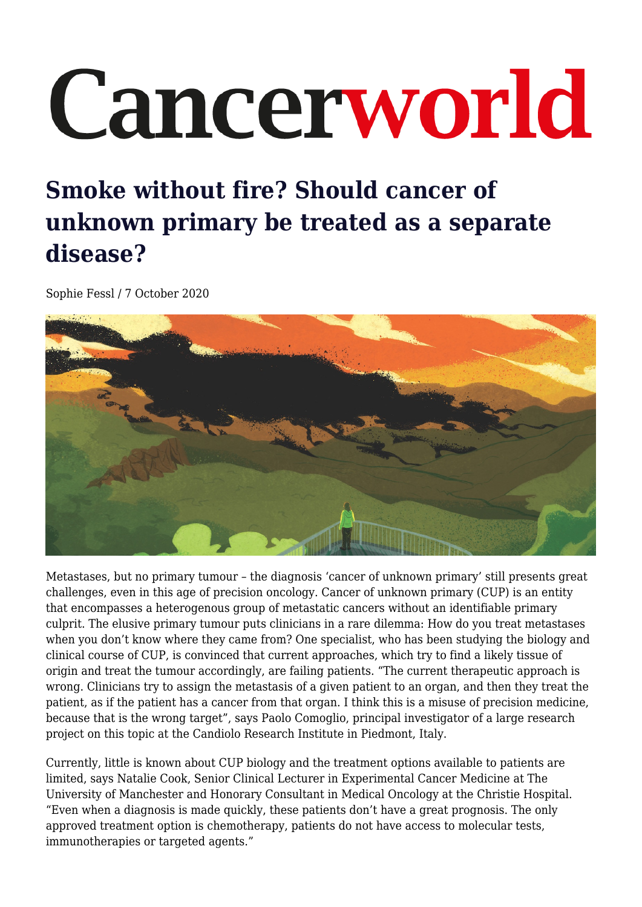# Cancerworld

# **Smoke without fire? Should cancer of unknown primary be treated as a separate disease?**

Sophie Fessl / 7 October 2020



Metastases, but no primary tumour – the diagnosis 'cancer of unknown primary' still presents great challenges, even in this age of precision oncology. Cancer of unknown primary (CUP) is an entity that encompasses a heterogenous group of metastatic cancers without an identifiable primary culprit. The elusive primary tumour puts clinicians in a rare dilemma: How do you treat metastases when you don't know where they came from? One specialist, who has been studying the biology and clinical course of CUP, is convinced that current approaches, which try to find a likely tissue of origin and treat the tumour accordingly, are failing patients. "The current therapeutic approach is wrong. Clinicians try to assign the metastasis of a given patient to an organ, and then they treat the patient, as if the patient has a cancer from that organ. I think this is a misuse of precision medicine, because that is the wrong target", says Paolo Comoglio, principal investigator of a large research project on this topic at the Candiolo Research Institute in Piedmont, Italy.

Currently, little is known about CUP biology and the treatment options available to patients are limited, says Natalie Cook, Senior Clinical Lecturer in Experimental Cancer Medicine at The University of Manchester and Honorary Consultant in Medical Oncology at the Christie Hospital. "Even when a diagnosis is made quickly, these patients don't have a great prognosis. The only approved treatment option is chemotherapy, patients do not have access to molecular tests, immunotherapies or targeted agents."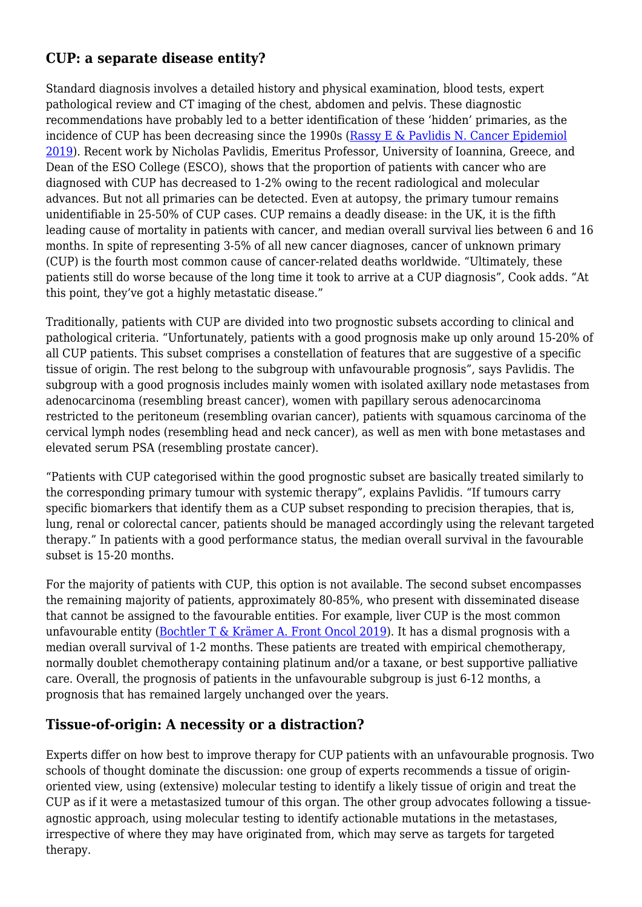#### **CUP: a separate disease entity?**

Standard diagnosis involves a detailed history and physical examination, blood tests, expert pathological review and CT imaging of the chest, abdomen and pelvis. These diagnostic recommendations have probably led to a better identification of these 'hidden' primaries, as the incidence of CUP has been decreasing since the 1990s (Rassy E  $\&$  Pavlidis N. Cancer Epidemiol [2019\)](https://www.sciencedirect.com/science/article/abs/pii/S1877782119300566). Recent work by Nicholas Pavlidis, Emeritus Professor, University of Ioannina, Greece, and Dean of the ESO College (ESCO), shows that the proportion of patients with cancer who are diagnosed with CUP has decreased to 1-2% owing to the recent radiological and molecular advances. But not all primaries can be detected. Even at autopsy, the primary tumour remains unidentifiable in 25-50% of CUP cases. CUP remains a deadly disease: in the UK, it is the fifth leading cause of mortality in patients with cancer, and median overall survival lies between 6 and 16 months. In spite of representing 3-5% of all new cancer diagnoses, cancer of unknown primary (CUP) is the fourth most common cause of cancer-related deaths worldwide. "Ultimately, these patients still do worse because of the long time it took to arrive at a CUP diagnosis", Cook adds. "At this point, they've got a highly metastatic disease."

Traditionally, patients with CUP are divided into two prognostic subsets according to clinical and pathological criteria. "Unfortunately, patients with a good prognosis make up only around 15-20% of all CUP patients. This subset comprises a constellation of features that are suggestive of a specific tissue of origin. The rest belong to the subgroup with unfavourable prognosis", says Pavlidis. The subgroup with a good prognosis includes mainly women with isolated axillary node metastases from adenocarcinoma (resembling breast cancer), women with papillary serous adenocarcinoma restricted to the peritoneum (resembling ovarian cancer), patients with squamous carcinoma of the cervical lymph nodes (resembling head and neck cancer), as well as men with bone metastases and elevated serum PSA (resembling prostate cancer).

"Patients with CUP categorised within the good prognostic subset are basically treated similarly to the corresponding primary tumour with systemic therapy", explains Pavlidis. "If tumours carry specific biomarkers that identify them as a CUP subset responding to precision therapies, that is, lung, renal or colorectal cancer, patients should be managed accordingly using the relevant targeted therapy." In patients with a good performance status, the median overall survival in the favourable subset is 15-20 months.

For the majority of patients with CUP, this option is not available. The second subset encompasses the remaining majority of patients, approximately 80-85%, who present with disseminated disease that cannot be assigned to the favourable entities. For example, liver CUP is the most common unfavourable entity ([Bochtler T & Krämer A. Front Oncol 2019\)](https://www.ncbi.nlm.nih.gov/pmc/articles/PMC6534107/). It has a dismal prognosis with a median overall survival of 1-2 months. These patients are treated with empirical chemotherapy, normally doublet chemotherapy containing platinum and/or a taxane, or best supportive palliative care. Overall, the prognosis of patients in the unfavourable subgroup is just 6-12 months, a prognosis that has remained largely unchanged over the years.

#### **Tissue-of-origin: A necessity or a distraction?**

Experts differ on how best to improve therapy for CUP patients with an unfavourable prognosis. Two schools of thought dominate the discussion: one group of experts recommends a tissue of originoriented view, using (extensive) molecular testing to identify a likely tissue of origin and treat the CUP as if it were a metastasized tumour of this organ. The other group advocates following a tissueagnostic approach, using molecular testing to identify actionable mutations in the metastases, irrespective of where they may have originated from, which may serve as targets for targeted therapy.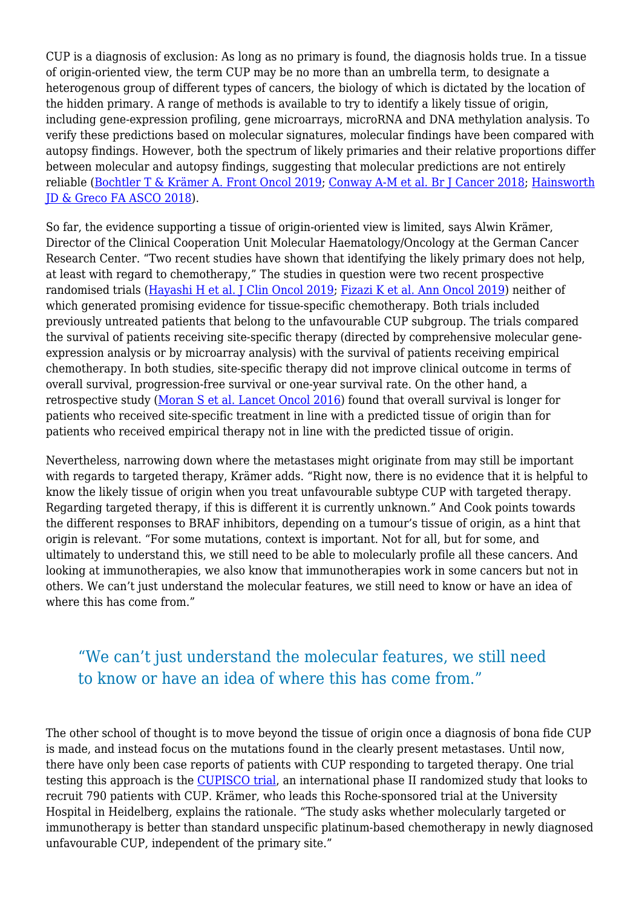CUP is a diagnosis of exclusion: As long as no primary is found, the diagnosis holds true. In a tissue of origin-oriented view, the term CUP may be no more than an umbrella term, to designate a heterogenous group of different types of cancers, the biology of which is dictated by the location of the hidden primary. A range of methods is available to try to identify a likely tissue of origin, including gene-expression profiling, gene microarrays, microRNA and DNA methylation analysis. To verify these predictions based on molecular signatures, molecular findings have been compared with autopsy findings. However, both the spectrum of likely primaries and their relative proportions differ between molecular and autopsy findings, suggesting that molecular predictions are not entirely reliable ([Bochtler T & Krämer A. Front Oncol 2019;](https://www.ncbi.nlm.nih.gov/pmc/articles/PMC6534107/) [Conway A-M et al. Br J Cancer 2018;](https://www.nature.com/articles/s41416-018-0332-2) [Hainsworth](https://ascopubs.org/doi/full/10.1200/EDBK_100014) [JD & Greco FA ASCO 2018\)](https://ascopubs.org/doi/full/10.1200/EDBK_100014).

So far, the evidence supporting a tissue of origin-oriented view is limited, says Alwin Krämer, Director of the Clinical Cooperation Unit Molecular Haematology/Oncology at the German Cancer Research Center. "Two recent studies have shown that identifying the likely primary does not help, at least with regard to chemotherapy," The studies in question were two recent prospective randomised trials ([Hayashi H et al. J Clin Oncol 2019;](https://ascopubs.org/doi/10.1200/JCO.18.00771) [Fizazi K et al. Ann Oncol 2019](https://www.annalsofoncology.org/article/S0923-7534(19)60360-1/abstract)) neither of which generated promising evidence for tissue-specific chemotherapy. Both trials included previously untreated patients that belong to the unfavourable CUP subgroup. The trials compared the survival of patients receiving site-specific therapy (directed by comprehensive molecular geneexpression analysis or by microarray analysis) with the survival of patients receiving empirical chemotherapy. In both studies, site-specific therapy did not improve clinical outcome in terms of overall survival, progression-free survival or one-year survival rate. On the other hand, a retrospective study ([Moran S et al. Lancet Oncol 2016\)](https://pubmed.ncbi.nlm.nih.gov/27575023/) found that overall survival is longer for patients who received site-specific treatment in line with a predicted tissue of origin than for patients who received empirical therapy not in line with the predicted tissue of origin.

Nevertheless, narrowing down where the metastases might originate from may still be important with regards to targeted therapy, Krämer adds. "Right now, there is no evidence that it is helpful to know the likely tissue of origin when you treat unfavourable subtype CUP with targeted therapy. Regarding targeted therapy, if this is different it is currently unknown." And Cook points towards the different responses to BRAF inhibitors, depending on a tumour's tissue of origin, as a hint that origin is relevant. "For some mutations, context is important. Not for all, but for some, and ultimately to understand this, we still need to be able to molecularly profile all these cancers. And looking at immunotherapies, we also know that immunotherapies work in some cancers but not in others. We can't just understand the molecular features, we still need to know or have an idea of where this has come from."

## "We can't just understand the molecular features, we still need to know or have an idea of where this has come from."

The other school of thought is to move beyond the tissue of origin once a diagnosis of bona fide CUP is made, and instead focus on the mutations found in the clearly present metastases. Until now, there have only been case reports of patients with CUP responding to targeted therapy. One trial testing this approach is the [CUPISCO trial](https://clinicaltrials.gov/ct2/show/NCT03498521), an international phase II randomized study that looks to recruit 790 patients with CUP. Krämer, who leads this Roche-sponsored trial at the University Hospital in Heidelberg, explains the rationale. "The study asks whether molecularly targeted or immunotherapy is better than standard unspecific platinum-based chemotherapy in newly diagnosed unfavourable CUP, independent of the primary site."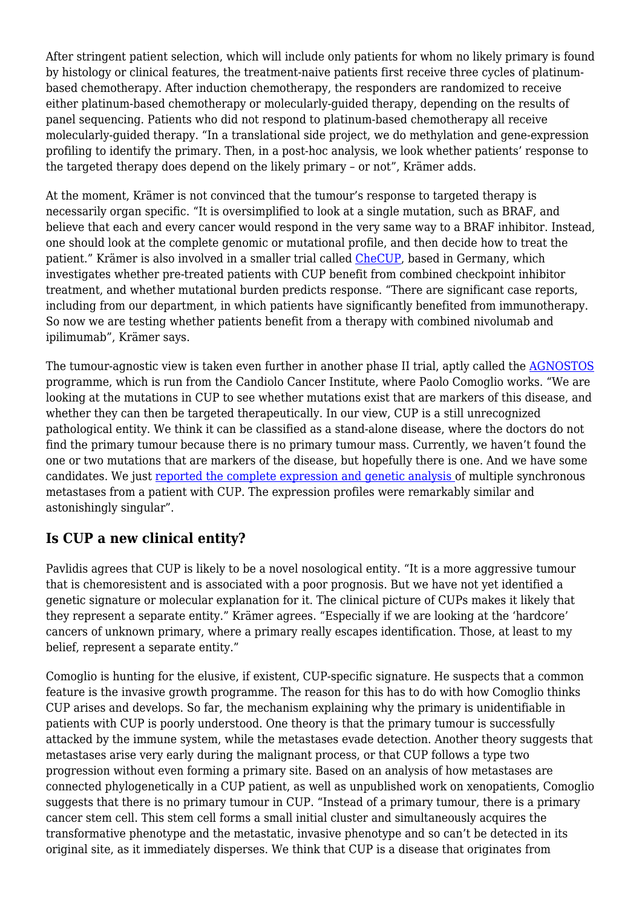After stringent patient selection, which will include only patients for whom no likely primary is found by histology or clinical features, the treatment-naive patients first receive three cycles of platinumbased chemotherapy. After induction chemotherapy, the responders are randomized to receive either platinum-based chemotherapy or molecularly-guided therapy, depending on the results of panel sequencing. Patients who did not respond to platinum-based chemotherapy all receive molecularly-guided therapy. "In a translational side project, we do methylation and gene-expression profiling to identify the primary. Then, in a post-hoc analysis, we look whether patients' response to the targeted therapy does depend on the likely primary – or not", Krämer adds.

At the moment, Krämer is not convinced that the tumour's response to targeted therapy is necessarily organ specific. "It is oversimplified to look at a single mutation, such as BRAF, and believe that each and every cancer would respond in the very same way to a BRAF inhibitor. Instead, one should look at the complete genomic or mutational profile, and then decide how to treat the patient." Krämer is also involved in a smaller trial called [CheCUP](https://www.clinicaltrialsregister.eu/ctr-search/trial/2018-004562-33), based in Germany, which investigates whether pre-treated patients with CUP benefit from combined checkpoint inhibitor treatment, and whether mutational burden predicts response. "There are significant case reports, including from our department, in which patients have significantly benefited from immunotherapy. So now we are testing whether patients benefit from a therapy with combined nivolumab and ipilimumab", Krämer says.

The tumour-agnostic view is taken even further in another phase II trial, aptly called the [AGNOSTOS](https://ichgcp.net/clinical-trials-registry/NCT02607202) programme, which is run from the Candiolo Cancer Institute, where Paolo Comoglio works. "We are looking at the mutations in CUP to see whether mutations exist that are markers of this disease, and whether they can then be targeted therapeutically. In our view, CUP is a still unrecognized pathological entity. We think it can be classified as a stand-alone disease, where the doctors do not find the primary tumour because there is no primary tumour mass. Currently, we haven't found the one or two mutations that are markers of the disease, but hopefully there is one. And we have some candidates. We just [reported the complete expression and genetic analysis](https://www.embopress.org/doi/full/10.15252/emmm.201911756) of multiple synchronous metastases from a patient with CUP. The expression profiles were remarkably similar and astonishingly singular".

#### **Is CUP a new clinical entity?**

Pavlidis agrees that CUP is likely to be a novel nosological entity. "It is a more aggressive tumour that is chemoresistent and is associated with a poor prognosis. But we have not yet identified a genetic signature or molecular explanation for it. The clinical picture of CUPs makes it likely that they represent a separate entity." Krämer agrees. "Especially if we are looking at the 'hardcore' cancers of unknown primary, where a primary really escapes identification. Those, at least to my belief, represent a separate entity."

Comoglio is hunting for the elusive, if existent, CUP-specific signature. He suspects that a common feature is the invasive growth programme. The reason for this has to do with how Comoglio thinks CUP arises and develops. So far, the mechanism explaining why the primary is unidentifiable in patients with CUP is poorly understood. One theory is that the primary tumour is successfully attacked by the immune system, while the metastases evade detection. Another theory suggests that metastases arise very early during the malignant process, or that CUP follows a type two progression without even forming a primary site. Based on an analysis of how metastases are connected phylogenetically in a CUP patient, as well as unpublished work on xenopatients, Comoglio suggests that there is no primary tumour in CUP. "Instead of a primary tumour, there is a primary cancer stem cell. This stem cell forms a small initial cluster and simultaneously acquires the transformative phenotype and the metastatic, invasive phenotype and so can't be detected in its original site, as it immediately disperses. We think that CUP is a disease that originates from